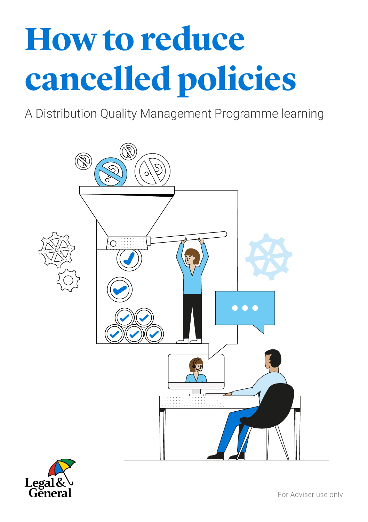# **How to reduce cancelled policies**

A Distribution Quality Management Programme learning



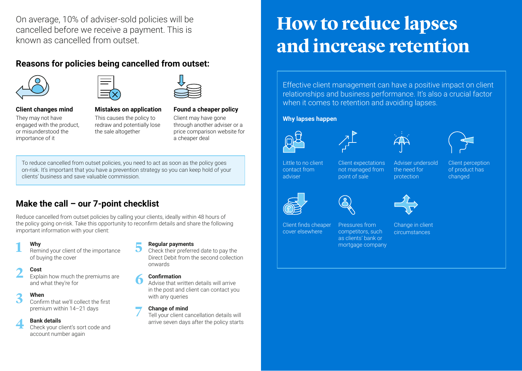On average, 10% of adviser-sold policies will be cancelled before we receive a payment. This is known as cancelled from outset.

## **Reasons for policies being cancelled from outset:**





#### **Client changes mind**

They may not have engaged with the product, or misunderstood the importance of it

This causes the policy to redraw and potentially lose the sale altogether

#### **Mistakes on application**

**Found a cheaper policy** Client may have gone through another adviser or a price comparison website for a cheaper deal

To reduce cancelled from outset policies, you need to act as soon as the policy goes on-risk. It's important that you have a prevention strategy so you can keep hold of your clients' business and save valuable commission.

## **Make the call – our 7-point checklist**

Reduce cancelled from outset policies by calling your clients, ideally within 48 hours of the policy going on-risk. Take this opportunity to reconfirm details and share the following important information with your client:

#### **Why**

1 Why<br>Remind your client of the importance of buying the cover

#### **Cost**

Explain how much the premiums are and what they're for **2 Cost**<br>Explain how much the premiums are<br>and what they're for

#### **When 3**

Confirm that we'll collect the first premium within 14–21 days

#### **Bank details 4**

Check your client's sort code and account number again

#### **Regular payments**

Check their preferred date to pay the Direct Debit from the second collection onwards

#### **Confirmation**

Advise that written details will arrive in the post and client can contact you with any queries

#### **Change of mind**

Tell your client cancellation details will arrive seven days after the policy starts **7**

# **How to reduce lapses and increase retention**

Effective client management can have a positive impact on client relationships and business performance. It's also a crucial factor when it comes to retention and avoiding lapses.

#### **Why lapses happen**







Little to no client contact from adviser

Client expectations not managed from point of sale

Adviser undersold the need for protection







Pressures from competitors, such as clients' bank or mortgage company



Change in client circumstances